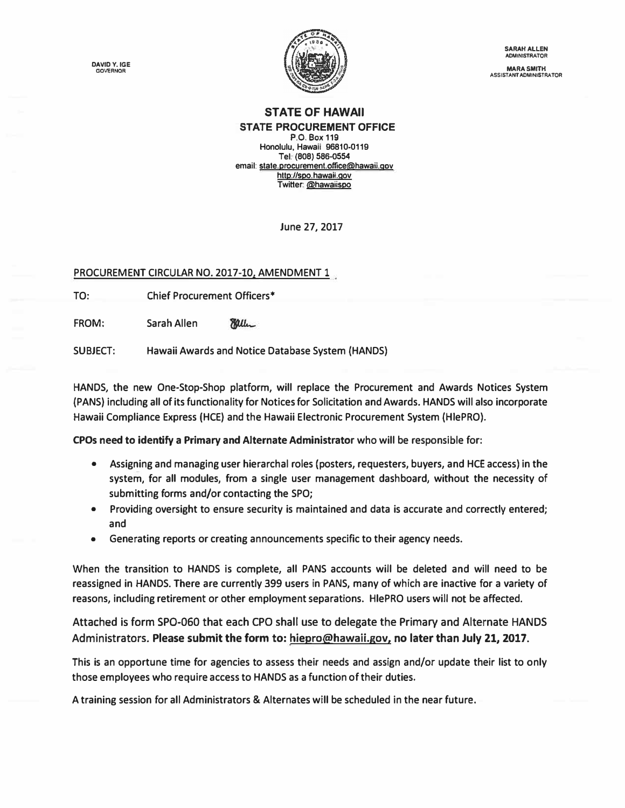**DAVIDY. IGE GOVERNOR** 



**SARAH ALLEN ADMINISTRATOR** 

**MARA SMITH ASSISTANT ADMINISTRATOR** 

## **STATE OF HAWAII STATE PROCUREMENT OFFICE**

**P.O. Box 119 Honolulu, Hawaii 96810-0119 Tel. (808) 586-0554 email: [state.procurement.office@hawaii.gov](mailto:state.procurement.office@hawaii.gov)  http://spo. hawail.qov Twitter: @hawaiispo** 

**June 27, 2017** 

**PROCUREMENT CIRCULAR NO. 2017-10, AMENDMENT 1** 

**TO: Chief Procurement Officers\*** 

**FROM: Sarah Allen**  Miller

**SUBJECT: Hawaii Awards and Notice Database System (HANDS)** 

**HANDS, the new One-Stop-Shop platform, will replace the Procurement and Awards Notices System (PANS) including all of its functionality for Notices for Solicitation and Awards. HANDS will also incorporate Hawaii Compliance Express (HCE) and the Hawaii Electronic Procurement System (HlePRO).** 

**CPOs need to identify a Primary and Alternate Administrator who will be responsible for:** 

- **• Assigning and managing user hierarchal roles (posters, requesters, buyers, and HCE access) in the system, for all modules, from a single user management dashboard, without the necessity of submitting forms and/or contacting the SPO;**
- **• Providing oversight to ensure security is maintained and data is accurate and correctly entered; and**
- **• Generating reports or creating announcements specific to their agency needs.**

**When the transition to HANDS is complete, all PANS accounts will be deleted and will need to be reassigned in HANDS. There are currently 399 users in PANS, many of which are inactive for a variety of reasons, including retirement or other employment separations. HlePRO users will not be affected.** 

**[Attached is form SPO-060](https://spo.hawaii.gov/wp-content/uploads/2017/06/FORM-SPO-060-rev-6.26.17.xls) that each CPO shall use to delegate the Primary and Alternate HANDS Administrators. [Please submit the form to: hiepro@hawaii.gov.](mailto:hiepro@hawaii.gov) no later than July Zl, 2017.** 

**This is an opportune time for agencies to assess their needs and assign and/or update their list to only those employees who require access to HANDS as a function of their duties.** 

**A training session for all Administrators & Alternates will be scheduled in the near future.**